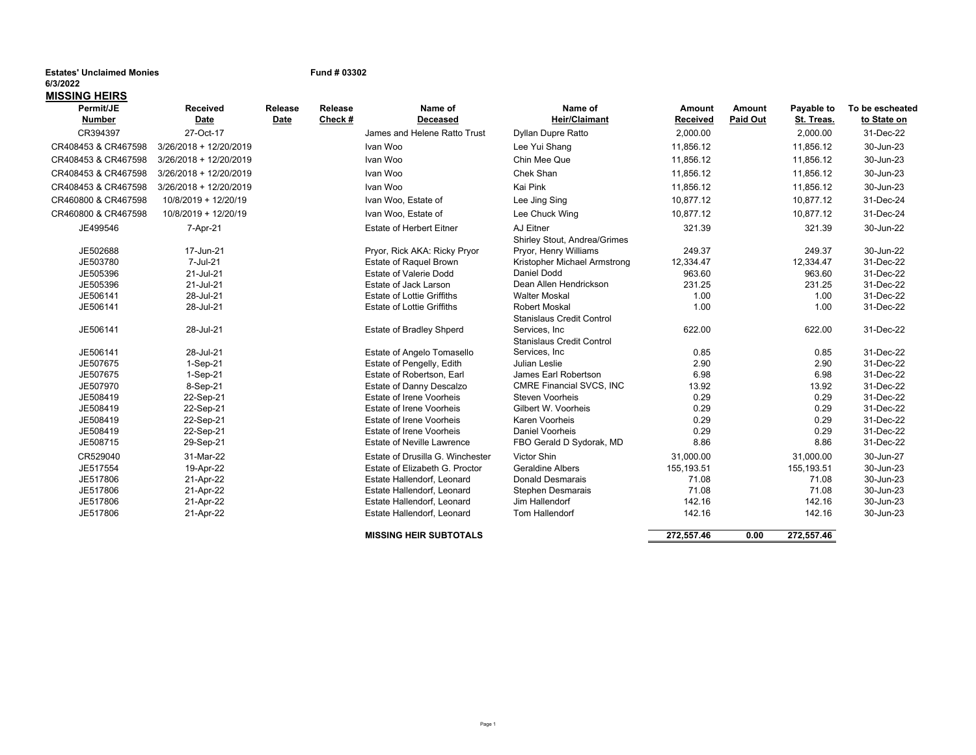# **Estates' Unclaimed Monies Fund # 03302**

## **6/3/2022MISSING HEIRS**

| Permit/JE           | <b>Received</b>        | Release | <b>Release</b> | Name of                           | Name of                          | Amount          | Amount          | Payable to | To be escheated |
|---------------------|------------------------|---------|----------------|-----------------------------------|----------------------------------|-----------------|-----------------|------------|-----------------|
| <b>Number</b>       | Date                   | Date    | Check $#$      | <b>Deceased</b>                   | <b>Heir/Claimant</b>             | <b>Received</b> | <b>Paid Out</b> | St. Treas. | to State on     |
| CR394397            | 27-Oct-17              |         |                | James and Helene Ratto Trust      | Dyllan Dupre Ratto               | 2,000.00        |                 | 2,000.00   | 31-Dec-22       |
| CR408453 & CR467598 | 3/26/2018 + 12/20/2019 |         |                | Ivan Woo                          | Lee Yui Shang                    | 11,856.12       |                 | 11,856.12  | 30-Jun-23       |
| CR408453 & CR467598 | 3/26/2018 + 12/20/2019 |         |                | Ivan Woo                          | Chin Mee Que                     | 11,856.12       |                 | 11,856.12  | 30-Jun-23       |
| CR408453 & CR467598 | 3/26/2018 + 12/20/2019 |         |                | Ivan Woo                          | Chek Shan                        | 11,856.12       |                 | 11,856.12  | 30-Jun-23       |
| CR408453 & CR467598 | 3/26/2018 + 12/20/2019 |         |                | Ivan Woo                          | Kai Pink                         | 11,856.12       |                 | 11,856.12  | 30-Jun-23       |
| CR460800 & CR467598 | 10/8/2019 + 12/20/19   |         |                | Ivan Woo, Estate of               | Lee Jing Sing                    | 10,877.12       |                 | 10,877.12  | 31-Dec-24       |
| CR460800 & CR467598 | 10/8/2019 + 12/20/19   |         |                | Ivan Woo, Estate of               | Lee Chuck Wing                   | 10,877.12       |                 | 10,877.12  | 31-Dec-24       |
| JE499546            | 7-Apr-21               |         |                | <b>Estate of Herbert Eitner</b>   | AJ Eitner                        | 321.39          |                 | 321.39     | 30-Jun-22       |
|                     |                        |         |                |                                   | Shirley Stout, Andrea/Grimes     |                 |                 |            |                 |
| JE502688            | 17-Jun-21              |         |                | Pryor, Rick AKA: Ricky Pryor      | Pryor, Henry Williams            | 249.37          |                 | 249.37     | 30-Jun-22       |
| JE503780            | 7-Jul-21               |         |                | <b>Estate of Raquel Brown</b>     | Kristopher Michael Armstrong     | 12,334.47       |                 | 12,334.47  | 31-Dec-22       |
| JE505396            | 21-Jul-21              |         |                | <b>Estate of Valerie Dodd</b>     | Daniel Dodd                      | 963.60          |                 | 963.60     | 31-Dec-22       |
| JE505396            | 21-Jul-21              |         |                | Estate of Jack Larson             | Dean Allen Hendrickson           | 231.25          |                 | 231.25     | 31-Dec-22       |
| JE506141            | 28-Jul-21              |         |                | <b>Estate of Lottie Griffiths</b> | <b>Walter Moskal</b>             | 1.00            |                 | 1.00       | 31-Dec-22       |
| JE506141            | 28-Jul-21              |         |                | <b>Estate of Lottie Griffiths</b> | <b>Robert Moskal</b>             | 1.00            |                 | 1.00       | 31-Dec-22       |
|                     |                        |         |                |                                   | Stanislaus Credit Control        |                 |                 |            |                 |
| JE506141            | 28-Jul-21              |         |                | Estate of Bradley Shperd          | Services, Inc.                   | 622.00          |                 | 622.00     | 31-Dec-22       |
|                     |                        |         |                |                                   | <b>Stanislaus Credit Control</b> |                 |                 |            |                 |
| JE506141            | 28-Jul-21              |         |                | Estate of Angelo Tomasello        | Services, Inc.                   | 0.85            |                 | 0.85       | 31-Dec-22       |
| JE507675            | $1-Sep-21$             |         |                | Estate of Pengelly, Edith         | Julian Leslie                    | 2.90            |                 | 2.90       | 31-Dec-22       |
| JE507675            | $1-Sep-21$             |         |                | Estate of Robertson, Earl         | James Earl Robertson             | 6.98            |                 | 6.98       | 31-Dec-22       |
| JE507970            | 8-Sep-21               |         |                | Estate of Danny Descalzo          | CMRE Financial SVCS, INC         | 13.92           |                 | 13.92      | 31-Dec-22       |
| JE508419            | 22-Sep-21              |         |                | Estate of Irene Voorheis          | <b>Steven Voorheis</b>           | 0.29            |                 | 0.29       | 31-Dec-22       |
| JE508419            | 22-Sep-21              |         |                | Estate of Irene Voorheis          | Gilbert W. Voorheis              | 0.29            |                 | 0.29       | 31-Dec-22       |
| JE508419            | 22-Sep-21              |         |                | Estate of Irene Voorheis          | Karen Voorheis                   | 0.29            |                 | 0.29       | 31-Dec-22       |
| JE508419            | 22-Sep-21              |         |                | Estate of Irene Voorheis          | <b>Daniel Voorheis</b>           | 0.29            |                 | 0.29       | 31-Dec-22       |
| JE508715            | 29-Sep-21              |         |                | <b>Estate of Neville Lawrence</b> | FBO Gerald D Sydorak, MD         | 8.86            |                 | 8.86       | 31-Dec-22       |
| CR529040            | 31-Mar-22              |         |                | Estate of Drusilla G. Winchester  | Victor Shin                      | 31,000.00       |                 | 31,000.00  | 30-Jun-27       |
| JE517554            | 19-Apr-22              |         |                | Estate of Elizabeth G. Proctor    | <b>Geraldine Albers</b>          | 155,193.51      |                 | 155,193.51 | 30-Jun-23       |
| JE517806            | 21-Apr-22              |         |                | Estate Hallendorf, Leonard        | <b>Donald Desmarais</b>          | 71.08           |                 | 71.08      | 30-Jun-23       |
| JE517806            | 21-Apr-22              |         |                | Estate Hallendorf, Leonard        | <b>Stephen Desmarais</b>         | 71.08           |                 | 71.08      | 30-Jun-23       |
| JE517806            | 21-Apr-22              |         |                | Estate Hallendorf, Leonard        | Jim Hallendorf                   | 142.16          |                 | 142.16     | 30-Jun-23       |
| JE517806            | 21-Apr-22              |         |                | Estate Hallendorf, Leonard        | Tom Hallendorf                   | 142.16          |                 | 142.16     | 30-Jun-23       |
|                     |                        |         |                | <b>MISSING HEIR SUBTOTALS</b>     |                                  | 272,557.46      | 0.00            | 272,557.46 |                 |